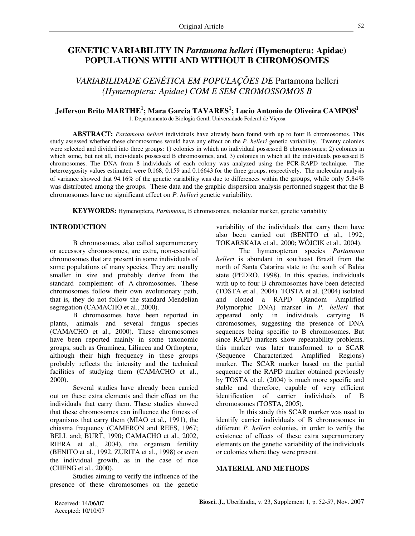# **GENETIC VARIABILITY IN** *Partamona helleri* **(Hymenoptera: Apidae) POPULATIONS WITH AND WITHOUT B CHROMOSOMES**

*VARIABILIDADE GENÉTICA EM POPULAÇÕES DE* Partamona helleri *(Hymenoptera: Apidae) COM E SEM CROMOSSOMOS B*

# **Jefferson Brito MARTHE 1 ; Mara Garcia TAVARES 1 ; Lucio Antonio de Oliveira CAMPOS 1**

1. Departamento de Biologia Geral, Universidade Federal de Viçosa

**ABSTRACT:** *Partamona helleri* individuals have already been found with up to four B chromosomes. This study assessed whether these chromosomes would have any effect on the *P. helleri* genetic variability. Twenty colonies were selected and divided into three groups: 1) colonies in which no individual possessed B chromosomes; 2) colonies in which some, but not all, individuals possessed B chromosomes, and, 3) colonies in which all the individuals possessed B chromosomes. The DNA from 8 individuals of each colony was analyzed using the PCR-RAPD technique. The heterozygosity values estimated were 0.168, 0.159 and 0.16643 for the three groups, respectively. The molecular analysis of variance showed that 94.16% of the genetic variability was due to differences within the groups, while only 5.84% was distributed among the groups. These data and the graphic dispersion analysis performed suggest that the B chromosomes have no significant effect on *P. helleri* genetic variability.

**KEYWORDS:** Hymenoptera, *Partamona*, B chromosomes, molecular marker, genetic variability

## **INTRODUCTION**

B chromosomes, also called supernumerary or accessory chromosomes, are extra, non-essential chromosomes that are present in some individuals of some populations of many species. They are usually smaller in size and probably derive from the standard complement of A-chromosomes. These chromosomes follow their own evolutionary path, that is, they do not follow the standard Mendelian segregation (CAMACHO et al., 2000).

B chromosomes have been reported in plants, animals and several fungus species (CAMACHO et al., 2000). These chromosomes have been reported mainly in some taxonomic groups, such as Graminea, Liliacea and Orthoptera, although their high frequency in these groups probably reflects the intensity and the technical facilities of studying them (CAMACHO et al., 2000).

Several studies have already been carried out on these extra elements and their effect on the individuals that carry them. These studies showed that these chromosomes can influence the fitness of organisms that carry them (MIAO et al*.*, 1991), the chiasma frequency (CAMERON and REES, 1967; BELL and; BURT, 1990; CAMACHO et al., 2002, RIERA et al., 2004), the organism fertility (BENITO et al., 1992, ZURITA et al., 1998) or even the individual growth, as in the case of rice (CHENG et al., 2000).

Studies aiming to verify the influence of the presence of these chromosomes on the genetic variability of the individuals that carry them have also been carried out (BENITO et al., 1992; TOKARSKAIA et al., 2000; WÓJCIK et al., 2004).

The hymenopteran species *Partamona helleri* is abundant in southeast Brazil from the north of Santa Catarina state to the south of Bahia state (PEDRO, 1998). In this species, individuals with up to four B chromosomes have been detected (TOSTA et al., 2004). TOSTA et al. (2004) isolated and cloned a RAPD (Random Amplified Polymorphic DNA) marker in *P. helleri* that appeared only in individuals carrying B chromosomes, suggesting the presence of DNA sequences being specific to B chromosomes. But since RAPD markers show repeatability problems, this marker was later transformed to a SCAR (Sequence Characterized Amplified Regions) marker. The SCAR marker based on the partial sequence of the RAPD marker obtained previously by TOSTA et al. (2004) is much more specific and stable and therefore, capable of very efficient identification of carrier individuals of B chromosomes (TOSTA, 2005).

In this study this SCAR marker was used to identify carrier individuals of B chromosomes in different *P. helleri* colonies, in order to verify the existence of effects of these extra supernumerary elements on the genetic variability of the individuals or colonies where they were present.

#### **MATERIAL AND METHODS**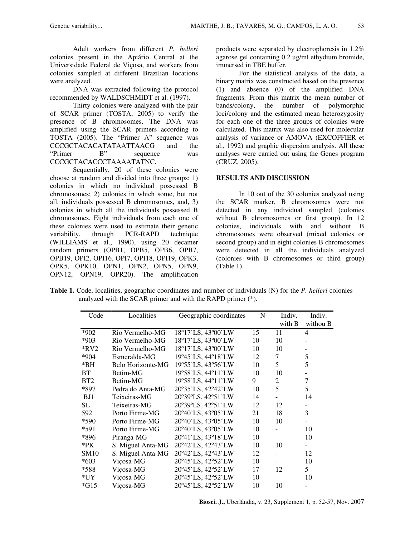Adult workers from different *P. helleri* colonies present in the Apiário Central at the Universidade Federal de Viçosa, and workers from colonies sampled at different Brazilian locations were analyzed.

DNA was extracted following the protocol recommended by WALDSCHMIDT et al. (1997).

Thirty colonies were analyzed with the pair of SCAR primer (TOSTA, 2005) to verify the presence of B chromosomes. The DNA was amplified using the SCAR primers according to TOSTA (2005). The "Primer A" sequence was CCCGCTACACATATAATTAACG and the<br>
"Primer B" sequence was B" sequence was CCCGCTACACCCTAAAATATNC.

Sequentially, 20 of these colonies were choose at random and divided into three groups: 1) colonies in which no individual possessed B chromosomes; 2) colonies in which some, but not all, individuals possessed B chromosomes, and, 3) colonies in which all the individuals possessed B chromosomes. Eight individuals from each one of these colonies were used to estimate their genetic variability, through PCR-RAPD technique (WILLIAMS et al., 1990), using 20 decamer random primers (OPB1, OPB5, OPB6, OPB7, OPB19, OPI2, OPI16, OPI7, OPI18, OPI19, OPK3, OPK5, OPK10, OPN1, OPN2, OPN5, OPN9, OPN12, OPN19, OPR20). The amplification products were separated by electrophoresis in 1.2% agarose gel containing 0.2 ug/ml ethydium bromide, immersed in TBE buffer.

For the statistical analysis of the data, a binary matrix was constructed based on the presence (1) and absence (0) of the amplified DNA fragments. From this matrix the mean number of bands/colony, the number of polymorphic loci/colony and the estimated mean heterozygosity for each one of the three groups of colonies were calculated. This matrix was also used for molecular analysis of variance or AMOVA (EXCOFFIER et al., 1992) and graphic dispersion analysis. All these analyses were carried out using the Genes program (CRUZ, 2005).

#### **RESULTS AND DISCUSSION**

In 10 out of the 30 colonies analyzed using the SCAR marker, B chromosomes were not detected in any individual sampled (colonies without B chromosomes or first group). In 12 colonies, individuals with and without B chromosomes were observed (mixed colonies or second group) and in eight colonies B chromosomes were detected in all the individuals analyzed (colonies with B chromosomes or third group) (Table 1).

**Table 1.** Code, localities, geographic coordinates and number of individuals (N) for the *P. helleri* colonies analyzed with the SCAR primer and with the RAPD primer (\*).

| Code            | Localities        | Geographic coordinates | N  | Indiv.         | Indiv.         |
|-----------------|-------------------|------------------------|----|----------------|----------------|
|                 |                   |                        |    | with B         | withou B       |
| *902            | Rio Vermelho-MG   | 18°17'LS, 43°00'LW     | 15 | 11             | 4              |
| *903            | Rio Vermelho-MG   | 18°17'LS, 43°00'LW     | 10 | 10             |                |
| $*RV2$          | Rio Vermelho-MG   | 18°17'LS, 43°00'LW     | 10 | 10             |                |
| $*904$          | Esmeralda-MG      | 19°45'LS, 44°18'LW     | 12 | 7              | 5              |
| *BH             | Belo Horizonte-MG | 19°55'LS, 43°56'LW     | 10 | 5              | 5              |
| <b>BT</b>       | Betim-MG          | 19°58'LS, 44°11'LW     | 10 | 10             |                |
| BT <sub>2</sub> | Betim-MG          | 19°58'LS, 44°11'LW     | 9  | $\overline{c}$ | $\overline{7}$ |
| *897            | Pedra do Anta-MG  | 20°35'LS, 42°42'LW     | 10 | 5              | 5              |
| BJ1             | Teixeiras-MG      | 20°39°LS, 42°51`LW     | 14 |                | 14             |
| SL.             | Teixeiras-MG      | 20°39°LS, 42°51`LW     | 12 | 12             |                |
| 592             | Porto Firme-MG    | 20°40'LS, 43°05'LW     | 21 | 18             | 3              |
| *590            | Porto Firme-MG    | 20°40'LS, 43°05'LW     | 10 | 10             |                |
| *591            | Porto Firme-MG    | 20°40'LS, 43°05'LW     | 10 |                | 10             |
| *896            | Piranga-MG        | 20°41`LS, 43°18`LW     | 10 |                | 10             |
| $*PK$           | S. Miguel Anta-MG | 20°42'LS, 42°43'LW     | 10 | 10             |                |
| <b>SM10</b>     | S. Miguel Anta-MG | 20°42'LS, 42°43'LW     | 12 |                | 12             |
| $*603$          | Viçosa-MG         | 20°45'LS, 42°52'LW     | 10 |                | 10             |
| $*588$          | Viçosa-MG         | 20°45'LS, 42°52'LW     | 17 | 12             | 5              |
| $*$ UY          | Viçosa-MG         | 20°45'LS, 42°52'LW     | 10 |                | 10             |
| $*G15$          | Viçosa-MG         | 20°45'LS, 42°52'LW     | 10 | 10             |                |
|                 |                   |                        |    |                |                |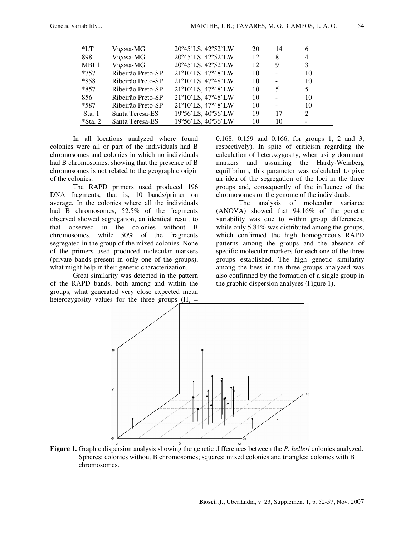| $*LT$      | Viçosa-MG         | 20°45'LS, 42°52'LW | 20 | 14                       | 6              |  |
|------------|-------------------|--------------------|----|--------------------------|----------------|--|
| 898        | Viçosa-MG         | 20°45'LS, 42°52'LW | 12 | 8                        | $\overline{4}$ |  |
| MBI 1      | Viçosa-MG         | 20°45'LS, 42°52'LW | 12 | 9                        | 3              |  |
| $*757$     | Ribeirão Preto-SP | 21°10'LS, 47°48'LW | 10 | $\overline{a}$           | 10             |  |
| *858       | Ribeirão Preto-SP | 21°10'LS, 47°48'LW | 10 | $\overline{\phantom{a}}$ | 10             |  |
| $*857$     | Ribeirão Preto-SP | 21°10'LS, 47°48'LW | 10 | 5                        | 5              |  |
| 856        | Ribeirão Preto-SP | 21°10'LS, 47°48'LW | 10 |                          | 10             |  |
| $*587$     | Ribeirão Preto-SP | 21°10'LS, 47°48'LW | 10 | $\overline{\phantom{a}}$ | 10             |  |
| Sta. 1     | Santa Teresa-ES   | 19°56'LS, 40°36'LW | 19 | 17                       | 2              |  |
| $*$ Sta. 2 | Santa Teresa-ES   | 19°56'LS, 40°36'LW | 10 | 10                       |                |  |

In all locations analyzed where found colonies were all or part of the individuals had B chromosomes and colonies in which no individuals had B chromosomes, showing that the presence of B chromosomes is not related to the geographic origin of the colonies.

The RAPD primers used produced 196 DNA fragments, that is, 10 bands/primer on average. In the colonies where all the individuals had B chromosomes, 52.5% of the fragments observed showed segregation, an identical result to that observed in the colonies without B chromosomes, while 50% of the fragments segregated in the group of the mixed colonies. None of the primers used produced molecular markers (private bands present in only one of the groups), what might help in their genetic characterization.

Great similarity was detected in the pattern of the RAPD bands, both among and within the groups, what generated very close expected mean heterozygosity values for the three groups  $(H_e =$  0.168, 0.159 and 0.166, for groups 1, 2 and 3, respectively). In spite of criticism regarding the calculation of heterozygosity, when using dominant markers and assuming the Hardy-Weinberg equilibrium, this parameter was calculated to give an idea of the segregation of the loci in the three groups and, consequently of the influence of the chromosomes on the genome of the individuals.

The analysis of molecular variance (ANOVA) showed that 94.16% of the genetic variability was due to within group differences, while only 5.84% was distributed among the groups, which confirmed the high homogeneous RAPD patterns among the groups and the absence of specific molecular markers for each one of the three groups established. The high genetic similarity among the bees in the three groups analyzed was also confirmed by the formation of a single group in the graphic dispersion analyses (Figure 1).



**Figure 1.** Graphic dispersion analysis showing the genetic differences between the *P. helleri* colonies analyzed. Spheres: colonies without B chromosomes; squares: mixed colonies and triangles: colonies with B chromosomes.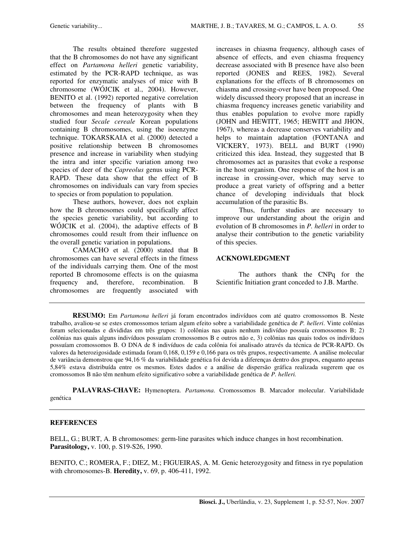The results obtained therefore suggested that the B chromosomes do not have any significant effect on *Partamona helleri* genetic variability, estimated by the PCR-RAPD technique, as was reported for enzymatic analyses of mice with B chromosome (WÓJCIK et al., 2004). However, BENITO et al. (1992) reported negative correlation between the frequency of plants with B chromosomes and mean heterozygosity when they studied four *Secale cereale* Korean populations containing B chromosomes, using the isoenzyme technique. TOKARSKAIA et al. (2000) detected a positive relationship between B chromosomes presence and increase in variability when studying the intra and inter specific variation among two species of deer of the *Capreolus* genus using PCR-RAPD. These data show that the effect of B chromosomes on individuals can vary from species to species or from population to population.

These authors, however, does not explain how the B chromosomes could specifically affect the species genetic variability, but according to WÓJCIK et al. (2004), the adaptive effects of B chromosomes could result from their influence on the overall genetic variation in populations.

CAMACHO et al. (2000) stated that B chromosomes can have several effects in the fitness of the individuals carrying them. One of the most reported B chromosome effects is on the quiasma frequency and, therefore, recombination. B chromosomes are frequently associated with increases in chiasma frequency, although cases of absence of effects, and even chiasma frequency decrease associated with B presence have also been reported (JONES and REES, 1982). Several explanations for the effects of B chromosomes on chiasma and crossing-over have been proposed. One widely discussed theory proposed that an increase in chiasma frequency increases genetic variability and thus enables population to evolve more rapidly (JOHN and HEWITT, 1965; HEWITT and JHON, 1967), whereas a decrease conserves variability and helps to maintain adaptation (FONTANA and VICKERY, 1973). BELL and BURT (1990) criticized this idea. Instead, they suggested that B chromosomes act as parasites that evoke a response in the host organism. One response of the host is an increase in crossing-over, which may serve to produce a great variety of offspring and a better chance of developing individuals that block accumulation of the parasitic Bs.

Thus, further studies are necessary to improve our understanding about the origin and evolution of B chromosomes in *P. helleri* in order to analyse their contribution to the genetic variability of this species.

### **ACKNOWLEDGMENT**

The authors thank the CNPq for the Scientific Initiation grant conceded to J.B. Marthe.

**RESUMO:** Em *Partamona helleri* já foram encontrados indivíduos com até quatro cromossomos B. Neste trabalho, avaliou-se se estes cromossomos teriam algum efeito sobre a variabilidade genética de *P. helleri*. Vinte colônias foram selecionadas e divididas em três grupos: 1) colônias nas quais nenhum indivíduo possuía cromossomos B; 2) colônias nas quais alguns indivíduos possuíam cromossomos B e outros não e, 3) colônias nas quais todos os indivíduos possuíam cromossomos B. O DNA de 8 indivíduos de cada colônia foi analisado através da técnica de PCR-RAPD. Os valores da heterozigosidade estimada foram 0,168, 0,159 e 0,166 para os três grupos, respectivamente. A análise molecular de variância demonstrou que 94,16 % da variabilidade genética foi devida a diferenças dentro dos grupos, enquanto apenas 5,84% estava distribuída entre os mesmos. Estes dados e a análise de dispersão gráfica realizada sugerem que os cromossomos B não têm nenhum efeito significativo sobre a variabilidade genética de *P. helleri.*

**PALAVRAS-CHAVE:** Hymenoptera. *Partamona*. Cromossomos B. Marcador molecular. Variabilidade genética

### **REFERENCES**

BELL, G.; BURT, A. B chromosomes: germ-line parasites which induce changes in host recombination. **Parasitology,** v. 100, p. S19-S26, 1990.

BENITO, C.; ROMERA, F.; DIEZ, M.; FIGUEIRAS, A. M. Genic heterozygosity and fitness in rye population with chromosomes-B. **Heredity,** v. 69, p. 406-411, 1992.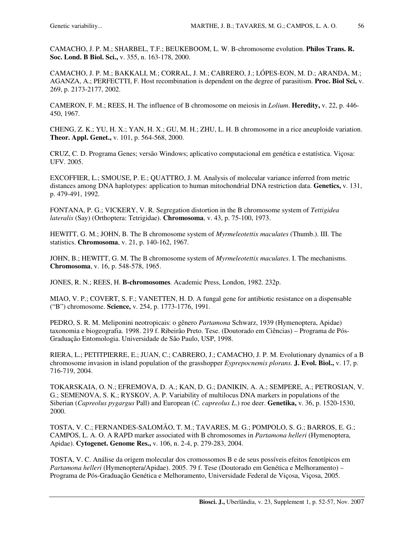CAMACHO, J. P. M.; SHARBEL, T.F.; BEUKEBOOM, L. W. B-chromosome evolution. **Philos Trans. R. Soc. Lond. B Biol. Sci.,** v. 355, n. 163-178, 2000.

CAMACHO, J. P. M.; BAKKALI, M.; CORRAL, J. M.; CABRERO, J.; LÓPES-EON, M. D.; ARANDA, M.; AGANZA, A.; PERFECTTI, F. Host recombination is dependent on the degree of parasitism. **Proc. Biol Sci,** v. 269, p. 2173-2177, 2002.

CAMERON, F. M.; REES, H. The influence of B chromosome on meiosis in *Lolium*. **Heredity,** v. 22, p. 446- 450, 1967.

CHENG, Z. K.; YU, H. X.; YAN, H. X.; GU, M. H.; ZHU, L. H. B chromosome in a rice aneuploide variation. **Theor. Appl. Genet.,** v. 101, p. 564-568, 2000.

CRUZ, C. D. Programa Genes; versão Windows; aplicativo computacional em genética e estatística. Viçosa: UFV. 2005.

EXCOFFIER, L.; SMOUSE, P. E.; QUATTRO, J. M. Analysis of molecular variance inferred from metric distances among DNA haplotypes: application to human mitochondrial DNA restriction data. **Genetics,** v. 131, p. 479-491, 1992.

FONTANA, P. G.; VICKERY, V. R. Segregation distortion in the B chromosome system of *Tettigidea lateralis* (Say) (Orthoptera: Tetrigidae). **Chromosoma**, v. 43, p. 75-100, 1973.

HEWITT, G. M.; JOHN, B. The B chromosome system of *Myrmeleotettix maculates* (Thumb.). III. The statistics. **Chromosoma**, v. 21, p. 140-162, 1967.

JOHN, B.; HEWITT, G. M. The B chromosome system of *Myrmeleotettix maculates*. I. The mechanisms. **Chromosoma**, v. 16, p. 548-578, 1965.

JONES, R. N.; REES, H. **B-chromosomes**. Academic Press, London, 1982. 232p.

MIAO, V. P.; COVERT, S. F.; VANETTEN, H. D. A fungal gene for antibiotic resistance on a dispensable ("B") chromosome. **Science,** v. 254, p. 1773-1776, 1991.

PEDRO, S. R. M. Meliponini neotropicais: o gênero *Partamona* Schwarz, 1939 (Hymenoptera, Apidae) taxonomia e biogeografia. 1998. 219 f. Ribeirão Preto. Tese. (Doutorado em Ciências) – Programa de Pós-Graduação Entomologia. Universidade de São Paulo, USP, 1998.

RIERA, L.; PETITPIERRE, E.; JUAN, C.; CABRERO, J.; CAMACHO, J. P. M. Evolutionary dynamics of a B chromosome invasion in island population of the grasshopper *Eyprepocnemis plorans.* **J. Evol. Biol.,** v. 17, p. 716-719, 2004.

TOKARSKAIA, O. N.; EFREMOVA, D. A.; KAN, D. G.; DANIKIN, A. A.; SEMPERE, A.; PETROSIAN, V. G.; SEMENOVA, S. K.; RYSKOV, A. P. Variability of multilocus DNA markers in populations of the Siberian (*Capreolus pygargus* Pall) and European (*C. capreolus L*.) roe deer. **Genetika,** v. 36, p. 1520-1530, 2000.

TOSTA, V. C.; FERNANDES-SALOMÃO, T. M.; TAVARES, M. G.; POMPOLO, S. G.; BARROS, E. G.; CAMPOS, L. A. O. A RAPD marker associated with B chromosomes in *Partamona helleri* (Hymenoptera, Apidae). **Cytogenet. Genome Res.,** v. 106, n. 2-4, p. 279-283, 2004.

TOSTA, V. C. Análise da origem molecular dos cromossomos B e de seus possíveis efeitos fenotípicos em *Partamona helleri* (Hymenoptera/Apidae). 2005. 79 f. Tese (Doutorado em Genética e Melhoramento) – Programa de Pós-Graduação Genética e Melhoramento, Universidade Federal de Viçosa, Viçosa, 2005.